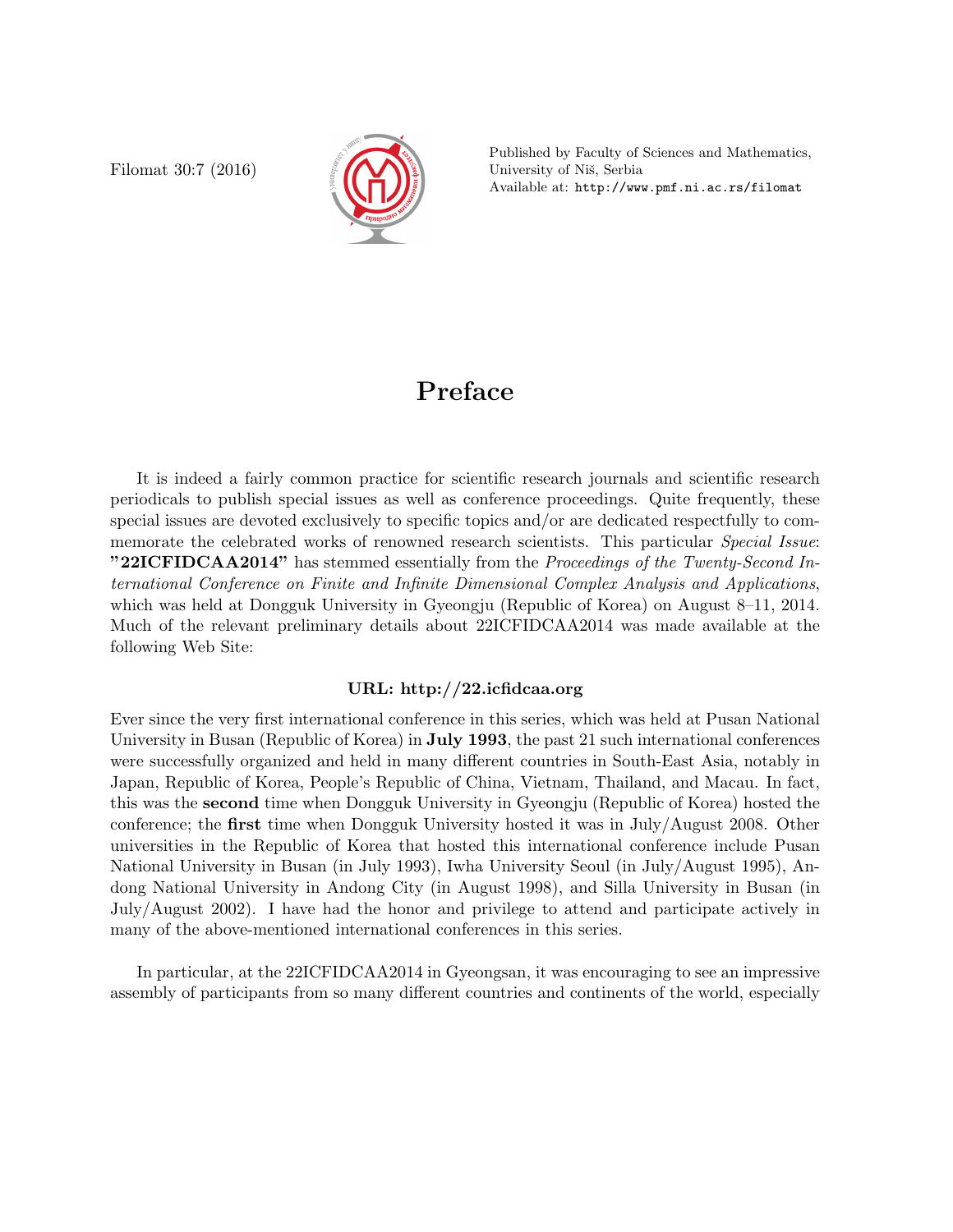Filomat 30:7 (2016)



Published by Faculty of Sciences and Mathematics, University of Niš, Serbia Available at: http://www.pmf.ni.ac.rs/filomat

## Preface

It is indeed a fairly common practice for scientific research journals and scientific research periodicals to publish special issues as well as conference proceedings. Quite frequently, these special issues are devoted exclusively to specific topics and/or are dedicated respectfully to commemorate the celebrated works of renowned research scientists. This particular Special Issue: "22ICFIDCAA2014" has stemmed essentially from the Proceedings of the Twenty-Second International Conference on Finite and Infinite Dimensional Complex Analysis and Applications, which was held at Dongguk University in Gyeongju (Republic of Korea) on August 8–11, 2014. Much of the relevant preliminary details about 22ICFIDCAA2014 was made available at the following Web Site:

## URL: http://22.icfidcaa.org

Ever since the very first international conference in this series, which was held at Pusan National University in Busan (Republic of Korea) in July 1993, the past 21 such international conferences were successfully organized and held in many different countries in South-East Asia, notably in Japan, Republic of Korea, People's Republic of China, Vietnam, Thailand, and Macau. In fact, this was the second time when Dongguk University in Gyeongju (Republic of Korea) hosted the conference; the first time when Dongguk University hosted it was in July/August 2008. Other universities in the Republic of Korea that hosted this international conference include Pusan National University in Busan (in July 1993), Iwha University Seoul (in July/August 1995), Andong National University in Andong City (in August 1998), and Silla University in Busan (in July/August 2002). I have had the honor and privilege to attend and participate actively in many of the above-mentioned international conferences in this series.

In particular, at the 22ICFIDCAA2014 in Gyeongsan, it was encouraging to see an impressive assembly of participants from so many different countries and continents of the world, especially